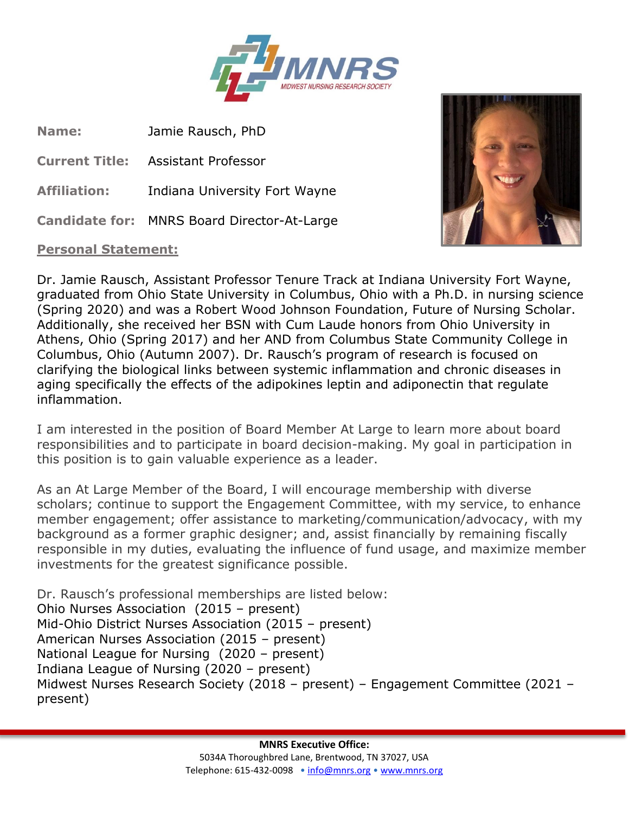

**Name:** Jamie Rausch, PhD

**Current Title:** Assistant Professor

**Affiliation:** Indiana University Fort Wayne

**Candidate for:** MNRS Board Director-At-Large

## **Personal Statement:**



Dr. Jamie Rausch, Assistant Professor Tenure Track at Indiana University Fort Wayne, graduated from Ohio State University in Columbus, Ohio with a Ph.D. in nursing science (Spring 2020) and was a Robert Wood Johnson Foundation, Future of Nursing Scholar. Additionally, she received her BSN with Cum Laude honors from Ohio University in Athens, Ohio (Spring 2017) and her AND from Columbus State Community College in Columbus, Ohio (Autumn 2007). Dr. Rausch's program of research is focused on clarifying the biological links between systemic inflammation and chronic diseases in aging specifically the effects of the adipokines leptin and adiponectin that regulate inflammation.

I am interested in the position of Board Member At Large to learn more about board responsibilities and to participate in board decision-making. My goal in participation in this position is to gain valuable experience as a leader.

As an At Large Member of the Board, I will encourage membership with diverse scholars; continue to support the Engagement Committee, with my service, to enhance member engagement; offer assistance to marketing/communication/advocacy, with my background as a former graphic designer; and, assist financially by remaining fiscally responsible in my duties, evaluating the influence of fund usage, and maximize member investments for the greatest significance possible.

Dr. Rausch's professional memberships are listed below: Ohio Nurses Association (2015 – present) Mid-Ohio District Nurses Association (2015 – present) American Nurses Association (2015 – present) National League for Nursing (2020 – present) Indiana League of Nursing (2020 – present) Midwest Nurses Research Society (2018 – present) – Engagement Committee (2021 – present)